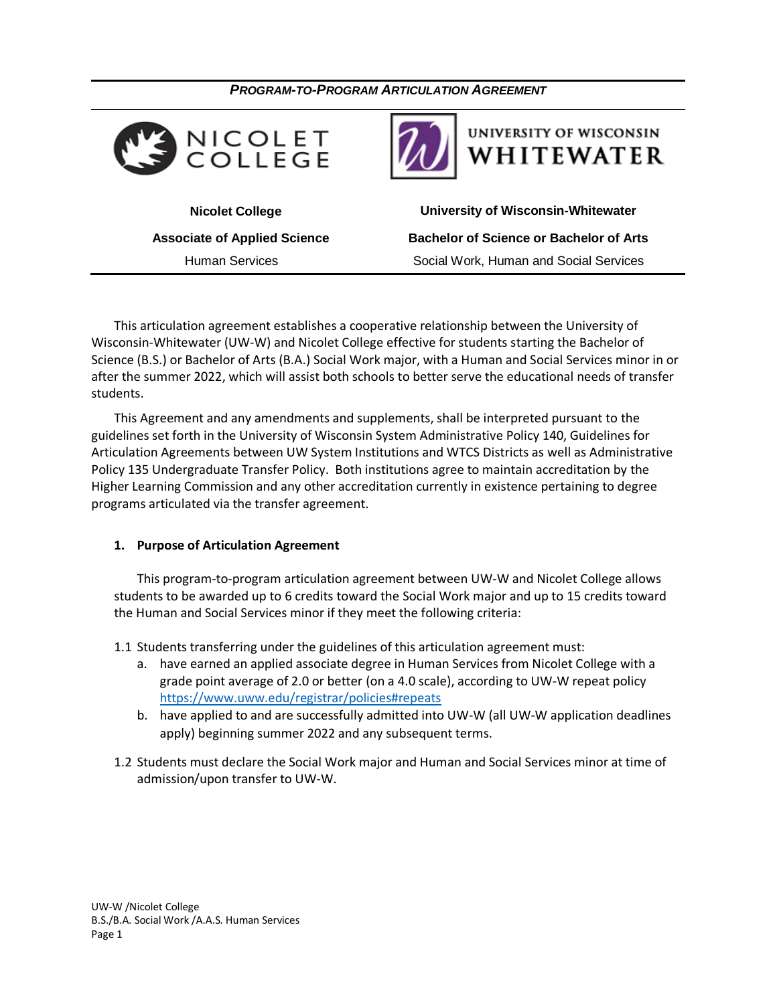



## **UNIVERSITY OF WISCONSIN** WHITEWATER

 **Nicolet College University of Wisconsin-Whitewater Associate of Applied Science Bachelor of Science or Bachelor of Arts** Human Services Social Work, Human and Social Services

This articulation agreement establishes a cooperative relationship between the University of Wisconsin-Whitewater (UW-W) and Nicolet College effective for students starting the Bachelor of Science (B.S.) or Bachelor of Arts (B.A.) Social Work major, with a Human and Social Services minor in or after the summer 2022, which will assist both schools to better serve the educational needs of transfer students.

This Agreement and any amendments and supplements, shall be interpreted pursuant to the guidelines set forth in the University of Wisconsin System Administrative Policy 140, Guidelines for Articulation Agreements between UW System Institutions and WTCS Districts as well as Administrative Policy 135 Undergraduate Transfer Policy. Both institutions agree to maintain accreditation by the Higher Learning Commission and any other accreditation currently in existence pertaining to degree programs articulated via the transfer agreement.

### **1. Purpose of Articulation Agreement**

This program-to-program articulation agreement between UW-W and Nicolet College allows students to be awarded up to 6 credits toward the Social Work major and up to 15 credits toward the Human and Social Services minor if they meet the following criteria:

- 1.1 Students transferring under the guidelines of this articulation agreement must:
	- a. have earned an applied associate degree in Human Services from Nicolet College with a grade point average of 2.0 or better (on a 4.0 scale), according to UW-W repeat policy <https://www.uww.edu/registrar/policies#repeats>
	- b. have applied to and are successfully admitted into UW-W (all UW-W application deadlines apply) beginning summer 2022 and any subsequent terms.
- 1.2 Students must declare the Social Work major and Human and Social Services minor at time of admission/upon transfer to UW-W.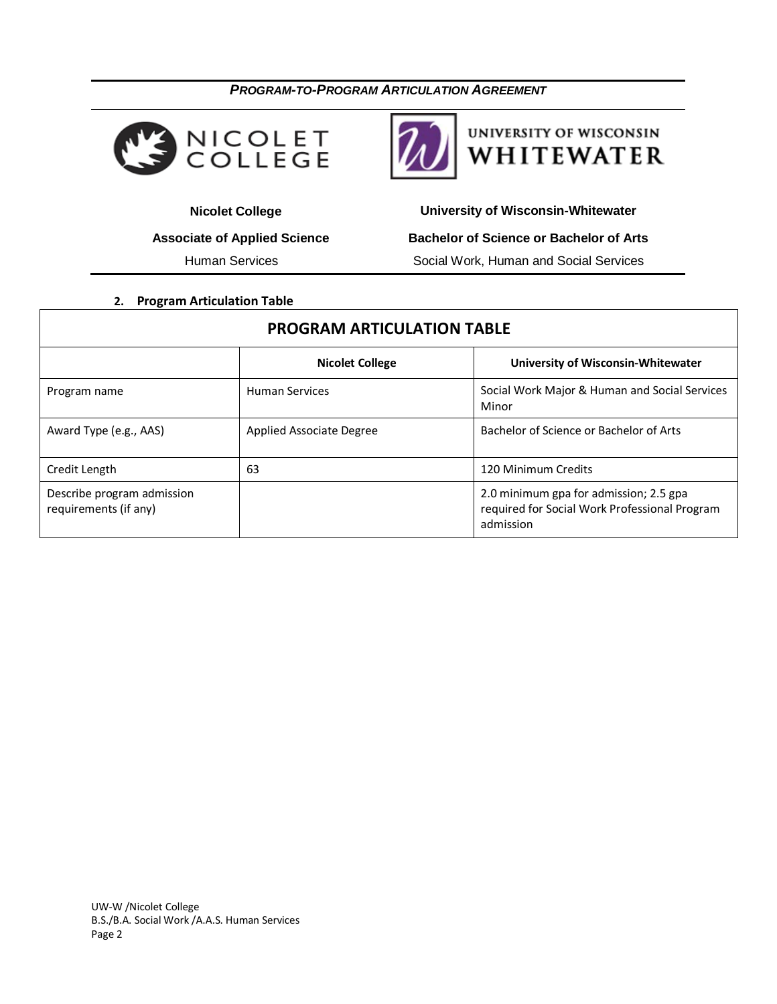



## UNIVERSITY OF WISCONSIN WHITEWATER

Human Services **Social Work, Human and Social Services** 

 **Nicolet College University of Wisconsin-Whitewater Associate of Applied Science Bachelor of Science or Bachelor of Arts**

**2. Program Articulation Table**

# **PROGRAM ARTICULATION TABLE Nicolet College University of Wisconsin-Whitewater** Program name **Human Services** Services Social Work Major & Human and Social Services Minor

|                                                     |                          | Minor                                                                                                |
|-----------------------------------------------------|--------------------------|------------------------------------------------------------------------------------------------------|
| Award Type (e.g., AAS)                              | Applied Associate Degree | Bachelor of Science or Bachelor of Arts                                                              |
| Credit Length                                       | 63                       | 120 Minimum Credits                                                                                  |
| Describe program admission<br>requirements (if any) |                          | 2.0 minimum gpa for admission; 2.5 gpa<br>required for Social Work Professional Program<br>admission |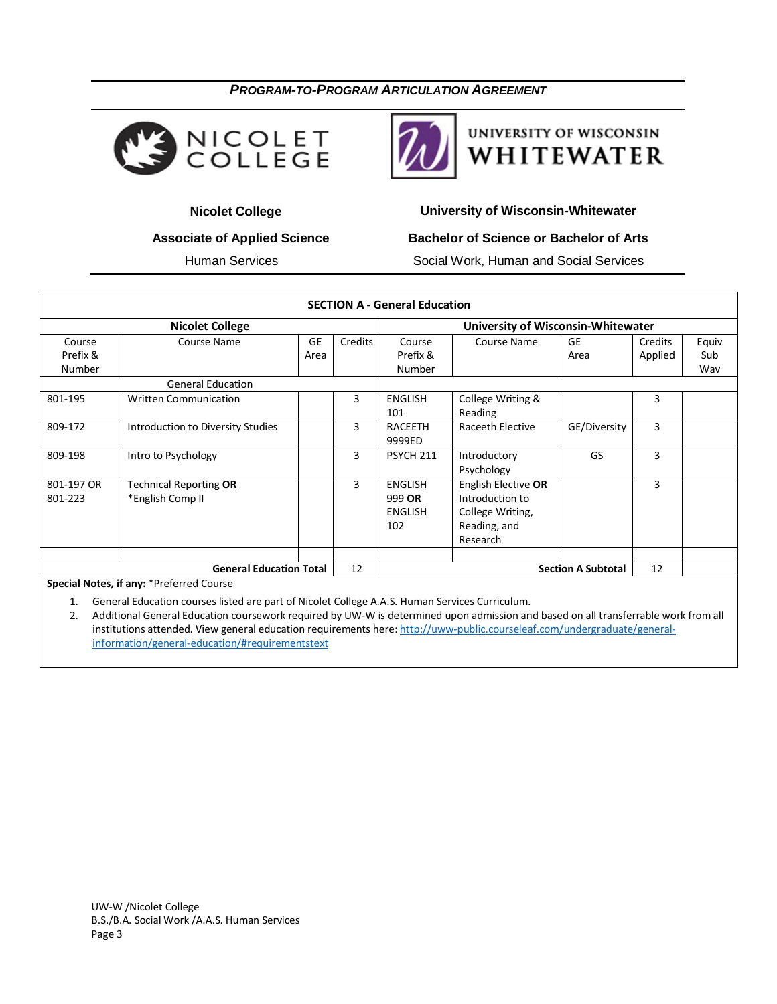



# UNIVERSITY OF WISCONSIN WHITEWATER

 **Nicolet College University of Wisconsin-Whitewater**

### **Associate of Applied Science Bachelor of Science or Bachelor of Arts**

Human Services Social Work, Human and Social Services

|                              |                                                   |            |         | <b>SECTION A - General Education</b>              |                                                                                        |                           |                    |                     |
|------------------------------|---------------------------------------------------|------------|---------|---------------------------------------------------|----------------------------------------------------------------------------------------|---------------------------|--------------------|---------------------|
|                              | <b>Nicolet College</b>                            |            |         |                                                   | <b>University of Wisconsin-Whitewater</b>                                              |                           |                    |                     |
| Course<br>Prefix &<br>Number | Course Name                                       | GE<br>Area | Credits | Course<br>Prefix &<br>Number                      | Course Name                                                                            | <b>GE</b><br>Area         | Credits<br>Applied | Equiv<br>Sub<br>Wav |
|                              | <b>General Education</b>                          |            |         |                                                   |                                                                                        |                           |                    |                     |
| 801-195                      | <b>Written Communication</b>                      |            | 3       | <b>ENGLISH</b><br>101                             | College Writing &<br>Reading                                                           |                           | 3                  |                     |
| 809-172                      | Introduction to Diversity Studies                 |            | 3       | <b>RACEETH</b><br>9999ED                          | Raceeth Elective                                                                       | GE/Diversity              | 3                  |                     |
| 809-198                      | Intro to Psychology                               |            | 3       | <b>PSYCH 211</b>                                  | Introductory<br>Psychology                                                             | GS                        | 3                  |                     |
| 801-197 OR<br>801-223        | <b>Technical Reporting OR</b><br>*English Comp II |            | 3       | <b>ENGLISH</b><br>999 OR<br><b>ENGLISH</b><br>102 | English Elective OR<br>Introduction to<br>College Writing,<br>Reading, and<br>Research |                           | 3                  |                     |
|                              |                                                   |            |         |                                                   |                                                                                        |                           |                    |                     |
|                              | <b>General Education Total</b>                    |            | 12      |                                                   |                                                                                        | <b>Section A Subtotal</b> | 12                 |                     |

**Special Notes, if any:** \*Preferred Course

1. General Education courses listed are part of Nicolet College A.A.S. Human Services Curriculum.

2. Additional General Education coursework required by UW-W is determined upon admission and based on all transferrable work from all institutions attended. View general education requirements here[: http://uww-public.courseleaf.com/undergraduate/general](http://uww-public.courseleaf.com/undergraduate/general-information/general-education/#requirementstext)[information/general-education/#requirementstext](http://uww-public.courseleaf.com/undergraduate/general-information/general-education/#requirementstext)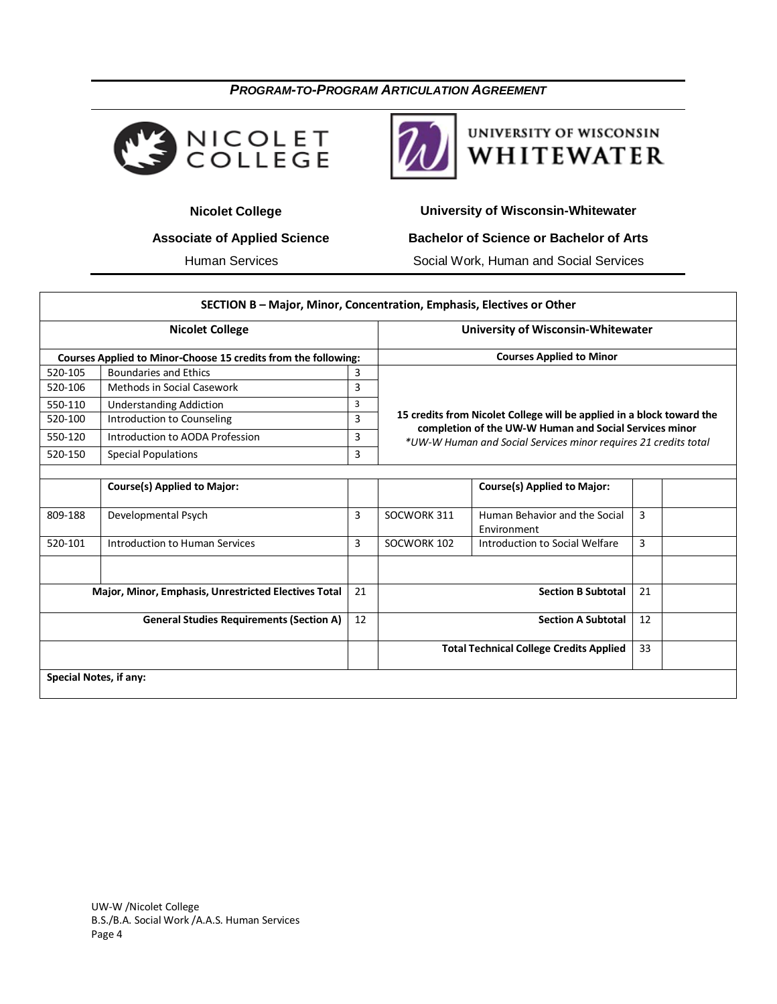



# **UNIVERSITY OF WISCONSIN** WHITEWATER

**Nicolet College Wisconsin-Whitewater** University of Wisconsin-Whitewater

## **Associate of Applied Science Bachelor of Science or Bachelor of Arts**

Human Services **Social Work, Human and Social Services** 

|                                                      | SECTION B - Major, Minor, Concentration, Emphasis, Electives or Other |    |                                                                                                                                                                                                    |                                              |    |  |
|------------------------------------------------------|-----------------------------------------------------------------------|----|----------------------------------------------------------------------------------------------------------------------------------------------------------------------------------------------------|----------------------------------------------|----|--|
| <b>Nicolet College</b>                               |                                                                       |    | <b>University of Wisconsin-Whitewater</b>                                                                                                                                                          |                                              |    |  |
|                                                      | Courses Applied to Minor-Choose 15 credits from the following:        |    |                                                                                                                                                                                                    | <b>Courses Applied to Minor</b>              |    |  |
| 520-105                                              | <b>Boundaries and Ethics</b>                                          | 3  |                                                                                                                                                                                                    |                                              |    |  |
| 520-106                                              | <b>Methods in Social Casework</b>                                     | 3  |                                                                                                                                                                                                    |                                              |    |  |
| 550-110                                              | <b>Understanding Addiction</b>                                        | 3  | 15 credits from Nicolet College will be applied in a block toward the<br>completion of the UW-W Human and Social Services minor<br>*UW-W Human and Social Services minor requires 21 credits total |                                              |    |  |
| 520-100                                              | Introduction to Counseling                                            | 3  |                                                                                                                                                                                                    |                                              |    |  |
| 550-120                                              | Introduction to AODA Profession                                       | 3  |                                                                                                                                                                                                    |                                              |    |  |
| 520-150                                              | <b>Special Populations</b>                                            | 3  |                                                                                                                                                                                                    |                                              |    |  |
|                                                      |                                                                       |    |                                                                                                                                                                                                    |                                              |    |  |
|                                                      | <b>Course(s) Applied to Major:</b>                                    |    |                                                                                                                                                                                                    | <b>Course(s) Applied to Major:</b>           |    |  |
| 809-188                                              | Developmental Psych                                                   | 3  | SOCWORK 311                                                                                                                                                                                        | Human Behavior and the Social<br>Environment | 3  |  |
| 520-101                                              | Introduction to Human Services                                        | 3  | SOCWORK 102                                                                                                                                                                                        | Introduction to Social Welfare               | 3  |  |
|                                                      |                                                                       |    |                                                                                                                                                                                                    |                                              |    |  |
| Major, Minor, Emphasis, Unrestricted Electives Total |                                                                       | 21 | <b>Section B Subtotal</b><br>21                                                                                                                                                                    |                                              |    |  |
| <b>General Studies Requirements (Section A)</b>      |                                                                       | 12 | <b>Section A Subtotal</b>                                                                                                                                                                          |                                              | 12 |  |
|                                                      |                                                                       |    | <b>Total Technical College Credits Applied</b>                                                                                                                                                     |                                              | 33 |  |
| Special Notes, if any:                               |                                                                       |    |                                                                                                                                                                                                    |                                              |    |  |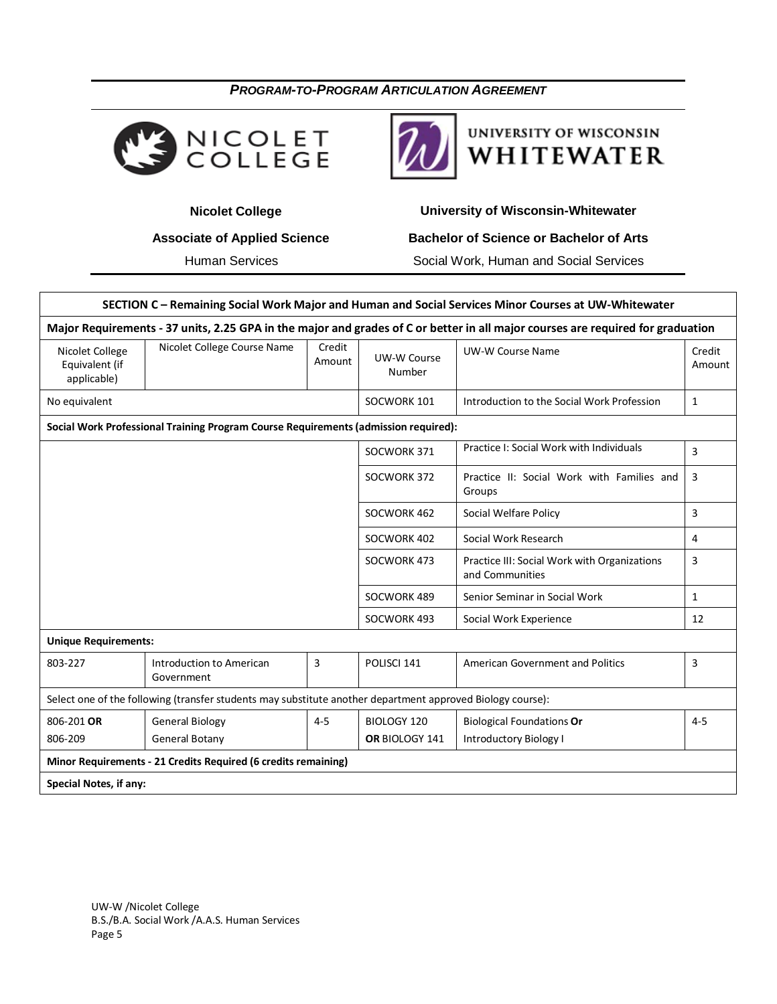



# **UNIVERSITY OF WISCONSIN** WHITEWATER

## **Nicolet College Wisconsin-Whitewater** University of Wisconsin-Whitewater

## **Associate of Applied Science Bachelor of Science or Bachelor of Arts**

Human Services **Social Work, Human and Social Services** 

| SECTION C - Remaining Social Work Major and Human and Social Services Minor Courses at UW-Whitewater                            |                                                                                                            |                  |                              |                                                                 |                  |  |  |  |
|---------------------------------------------------------------------------------------------------------------------------------|------------------------------------------------------------------------------------------------------------|------------------|------------------------------|-----------------------------------------------------------------|------------------|--|--|--|
| Major Requirements - 37 units, 2.25 GPA in the major and grades of C or better in all major courses are required for graduation |                                                                                                            |                  |                              |                                                                 |                  |  |  |  |
| Nicolet College<br>Equivalent (if<br>applicable)                                                                                | Nicolet College Course Name                                                                                | Credit<br>Amount | <b>UW-W Course</b><br>Number | <b>UW-W Course Name</b>                                         | Credit<br>Amount |  |  |  |
| No equivalent                                                                                                                   |                                                                                                            |                  | SOCWORK 101                  | Introduction to the Social Work Profession                      | $\mathbf{1}$     |  |  |  |
| Social Work Professional Training Program Course Requirements (admission required):                                             |                                                                                                            |                  |                              |                                                                 |                  |  |  |  |
|                                                                                                                                 |                                                                                                            |                  | SOCWORK 371                  | Practice I: Social Work with Individuals                        | 3                |  |  |  |
|                                                                                                                                 |                                                                                                            |                  | SOCWORK 372                  | Practice II: Social Work with Families and<br>Groups            | 3                |  |  |  |
|                                                                                                                                 |                                                                                                            |                  | SOCWORK 462                  | Social Welfare Policy                                           | 3                |  |  |  |
|                                                                                                                                 |                                                                                                            |                  | SOCWORK 402                  | Social Work Research                                            | 4                |  |  |  |
|                                                                                                                                 |                                                                                                            |                  | SOCWORK 473                  | Practice III: Social Work with Organizations<br>and Communities | 3                |  |  |  |
|                                                                                                                                 |                                                                                                            |                  | SOCWORK 489                  | Senior Seminar in Social Work                                   | $\mathbf{1}$     |  |  |  |
|                                                                                                                                 |                                                                                                            |                  | SOCWORK 493                  | Social Work Experience                                          | 12               |  |  |  |
| <b>Unique Requirements:</b>                                                                                                     |                                                                                                            |                  |                              |                                                                 |                  |  |  |  |
| 803-227                                                                                                                         | Introduction to American<br>Government                                                                     | 3                | POLISCI 141                  | <b>American Government and Politics</b>                         | 3                |  |  |  |
|                                                                                                                                 | Select one of the following (transfer students may substitute another department approved Biology course): |                  |                              |                                                                 |                  |  |  |  |
| 806-201 OR                                                                                                                      | <b>General Biology</b>                                                                                     | $4 - 5$          | <b>BIOLOGY 120</b>           | <b>Biological Foundations Or</b>                                | $4 - 5$          |  |  |  |
| 806-209                                                                                                                         | <b>General Botany</b>                                                                                      |                  | OR BIOLOGY 141               | <b>Introductory Biology I</b>                                   |                  |  |  |  |
| Minor Requirements - 21 Credits Required (6 credits remaining)                                                                  |                                                                                                            |                  |                              |                                                                 |                  |  |  |  |
| Special Notes, if any:                                                                                                          |                                                                                                            |                  |                              |                                                                 |                  |  |  |  |

UW-W /Nicolet College B.S./B.A. Social Work /A.A.S. Human Services Page 5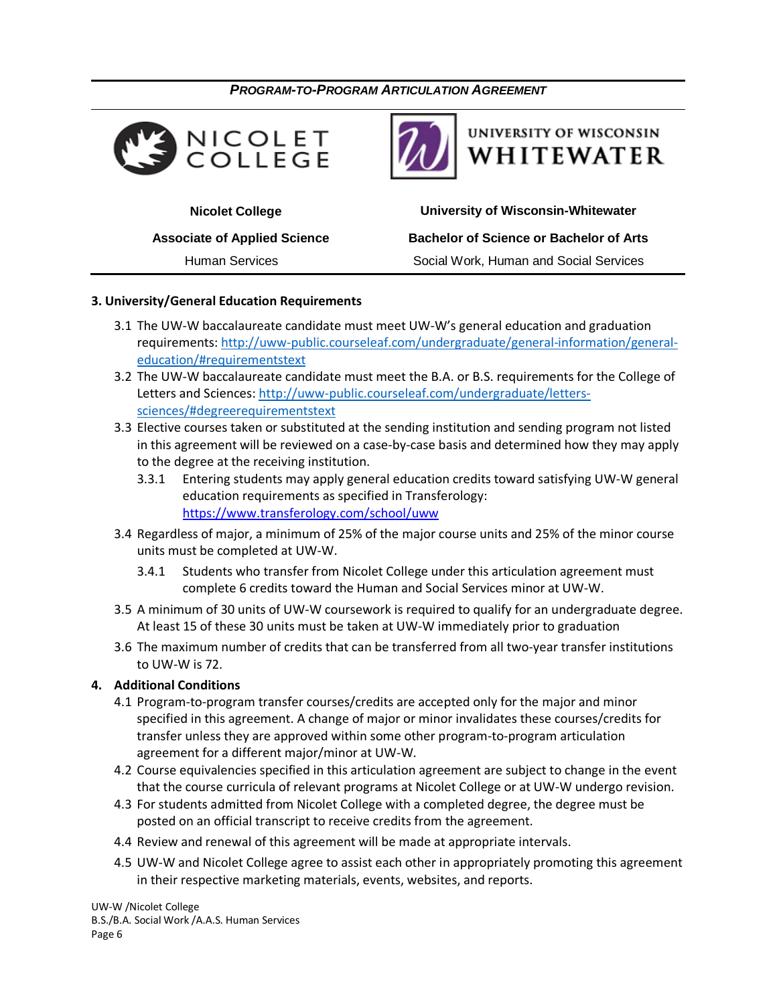



# **UNIVERSITY OF WISCONSIN** WHITEWATER

 **Nicolet College University of Wisconsin-Whitewater Associate of Applied Science Bachelor of Science or Bachelor of Arts** Human Services Social Work, Human and Social Services

### **3. University/General Education Requirements**

- 3.1 The UW-W baccalaureate candidate must meet UW-W's general education and graduation requirements: [http://uww-public.courseleaf.com/undergraduate/general-information/general](http://uww-public.courseleaf.com/undergraduate/general-information/general-education/#requirementstext)[education/#requirementstext](http://uww-public.courseleaf.com/undergraduate/general-information/general-education/#requirementstext)
- 3.2 The UW-W baccalaureate candidate must meet the B.A. or B.S. requirements for the College of Letters and Sciences: [http://uww-public.courseleaf.com/undergraduate/letters](http://uww-public.courseleaf.com/undergraduate/letters-sciences/#degreerequirementstext)[sciences/#degreerequirementstext](http://uww-public.courseleaf.com/undergraduate/letters-sciences/#degreerequirementstext)
- 3.3 Elective courses taken or substituted at the sending institution and sending program not listed in this agreement will be reviewed on a case-by-case basis and determined how they may apply to the degree at the receiving institution.
	- 3.3.1 Entering students may apply general education credits toward satisfying UW-W general education requirements as specified in Transferology: <https://www.transferology.com/school/uww>
- 3.4 Regardless of major, a minimum of 25% of the major course units and 25% of the minor course units must be completed at UW-W.
	- 3.4.1 Students who transfer from Nicolet College under this articulation agreement must complete 6 credits toward the Human and Social Services minor at UW-W.
- 3.5 A minimum of 30 units of UW-W coursework is required to qualify for an undergraduate degree. At least 15 of these 30 units must be taken at UW-W immediately prior to graduation
- 3.6 The maximum number of credits that can be transferred from all two-year transfer institutions to UW-W is 72.

### **4. Additional Conditions**

- 4.1 Program-to-program transfer courses/credits are accepted only for the major and minor specified in this agreement. A change of major or minor invalidates these courses/credits for transfer unless they are approved within some other program-to-program articulation agreement for a different major/minor at UW-W.
- 4.2 Course equivalencies specified in this articulation agreement are subject to change in the event that the course curricula of relevant programs at Nicolet College or at UW-W undergo revision.
- 4.3 For students admitted from Nicolet College with a completed degree, the degree must be posted on an official transcript to receive credits from the agreement.
- 4.4 Review and renewal of this agreement will be made at appropriate intervals.
- 4.5 UW-W and Nicolet College agree to assist each other in appropriately promoting this agreement in their respective marketing materials, events, websites, and reports.

UW-W /Nicolet College B.S./B.A. Social Work /A.A.S. Human Services Page 6